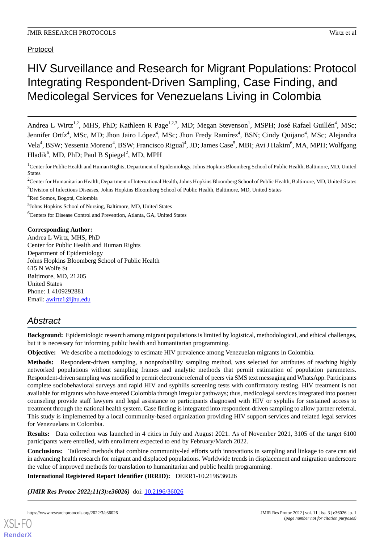Protocol

# HIV Surveillance and Research for Migrant Populations: Protocol Integrating Respondent-Driven Sampling, Case Finding, and Medicolegal Services for Venezuelans Living in Colombia

Andrea L Wirtz<sup>1,2</sup>, MHS, PhD; Kathleen R Page<sup>1,2,3</sup>, MD; Megan Stevenson<sup>1</sup>, MSPH; José Rafael Guillén<sup>4</sup>, MSc; Jennifer Ortíz<sup>4</sup>, MSc, MD; Jhon Jairo López<sup>4</sup>, MSc; Jhon Fredy Ramírez<sup>4</sup>, BSN; Cindy Quijano<sup>4</sup>, MSc; Alejandra Vela<sup>4</sup>, BSW; Yessenia Moreno<sup>4</sup>, BSW; Francisco Rigual<sup>4</sup>, JD; James Case<sup>5</sup>, MBI; Avi J Hakim<sup>6</sup>, MA, MPH; Wolfgang Hladik<sup>6</sup>, MD, PhD; Paul B Spiegel<sup>2</sup>, MD, MPH

<sup>1</sup>Center for Public Health and Human Rights, Department of Epidemiology, Johns Hopkins Bloomberg School of Public Health, Baltimore, MD, United States

<sup>2</sup>Center for Humanitarian Health, Department of International Health, Johns Hopkins Bloomberg School of Public Health, Baltimore, MD, United States

<sup>3</sup>Division of Infectious Diseases, Johns Hopkins Bloomberg School of Public Health, Baltimore, MD, United States

<sup>4</sup>Red Somos, Bogotá, Colombia

<sup>5</sup>Johns Hopkins School of Nursing, Baltimore, MD, United States

<sup>6</sup>Centers for Disease Control and Prevention, Atlanta, GA, United States

# **Corresponding Author:**

Andrea L Wirtz, MHS, PhD Center for Public Health and Human Rights Department of Epidemiology Johns Hopkins Bloomberg School of Public Health 615 N Wolfe St Baltimore, MD, 21205 United States Phone: 1 4109292881 Email: [awirtz1@jhu.edu](mailto:awirtz1@jhu.edu)

# *Abstract*

**Background:** Epidemiologic research among migrant populations is limited by logistical, methodological, and ethical challenges, but it is necessary for informing public health and humanitarian programming.

**Objective:** We describe a methodology to estimate HIV prevalence among Venezuelan migrants in Colombia.

**Methods:** Respondent-driven sampling, a nonprobability sampling method, was selected for attributes of reaching highly networked populations without sampling frames and analytic methods that permit estimation of population parameters. Respondent-driven sampling was modified to permit electronic referral of peers via SMS text messaging and WhatsApp. Participants complete sociobehavioral surveys and rapid HIV and syphilis screening tests with confirmatory testing. HIV treatment is not available for migrants who have entered Colombia through irregular pathways; thus, medicolegal services integrated into posttest counseling provide staff lawyers and legal assistance to participants diagnosed with HIV or syphilis for sustained access to treatment through the national health system. Case finding is integrated into respondent-driven sampling to allow partner referral. This study is implemented by a local community-based organization providing HIV support services and related legal services for Venezuelans in Colombia.

**Results:** Data collection was launched in 4 cities in July and August 2021. As of November 2021, 3105 of the target 6100 participants were enrolled, with enrollment expected to end by February/March 2022.

**Conclusions:** Tailored methods that combine community-led efforts with innovations in sampling and linkage to care can aid in advancing health research for migrant and displaced populations. Worldwide trends in displacement and migration underscore the value of improved methods for translation to humanitarian and public health programming.

**International Registered Report Identifier (IRRID):** DERR1-10.2196/36026

(JMIR Res Protoc 2022;11(3):e36026) doi: [10.2196/36026](http://dx.doi.org/10.2196/36026)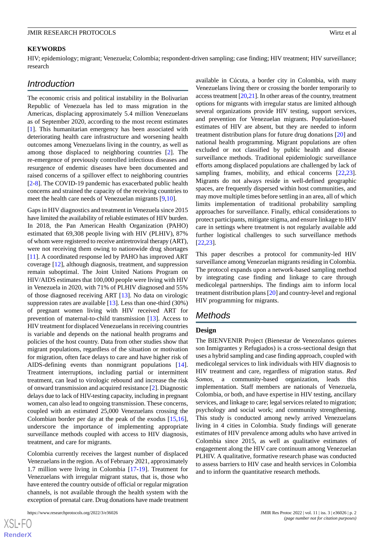#### **KEYWORDS**

HIV; epidemiology; migrant; Venezuela; Colombia; respondent-driven sampling; case finding; HIV treatment; HIV surveillance; research

# *Introduction*

The economic crisis and political instability in the Bolivarian Republic of Venezuela has led to mass migration in the Americas, displacing approximately 5.4 million Venezuelans as of September 2020, according to the most recent estimates [[1\]](#page-9-0). This humanitarian emergency has been associated with deteriorating health care infrastructure and worsening health outcomes among Venezuelans living in the country, as well as among those displaced to neighboring countries [[2](#page-9-1)]. The re-emergence of previously controlled infectious diseases and resurgence of endemic diseases have been documented and raised concerns of a spillover effect to neighboring countries [[2](#page-9-1)[-8](#page-9-2)]. The COVID-19 pandemic has exacerbated public health concerns and strained the capacity of the receiving countries to meet the health care needs of Venezuelan migrants [[9](#page-9-3)[,10](#page-9-4)].

Gaps in HIV diagnostics and treatment in Venezuela since 2015 have limited the availability of reliable estimates of HIV burden. In 2018, the Pan American Health Organization (PAHO) estimated that 69,308 people living with HIV (PLHIV), 87% of whom were registered to receive antiretroviral therapy (ART), were not receiving them owing to nationwide drug shortages [[11\]](#page-9-5). A coordinated response led by PAHO has improved ART coverage [\[12](#page-9-6)], although diagnosis, treatment, and suppression remain suboptimal. The Joint United Nations Program on HIV/AIDS estimates that 100,000 people were living with HIV in Venezuela in 2020, with 71% of PLHIV diagnosed and 55% of those diagnosed receiving ART [\[13](#page-9-7)]. No data on virologic suppression rates are available [\[13](#page-9-7)]. Less than one-third (30%) of pregnant women living with HIV received ART for prevention of maternal-to-child transmission [[13\]](#page-9-7). Access to HIV treatment for displaced Venezuelans in receiving countries is variable and depends on the national health programs and policies of the host country. Data from other studies show that migrant populations, regardless of the situation or motivation for migration, often face delays to care and have higher risk of AIDS-defining events than nonmigrant populations [[14\]](#page-9-8). Treatment interruptions, including partial or intermittent treatment, can lead to virologic rebound and increase the risk of onward transmission and acquired resistance [\[2](#page-9-1)]. Diagnostic delays due to lack of HIV-testing capacity, including in pregnant women, can also lead to ongoing transmission. These concerns, coupled with an estimated 25,000 Venezuelans crossing the Colombian border per day at the peak of the exodus [\[15](#page-9-9),[16\]](#page-9-10), underscore the importance of implementing appropriate surveillance methods coupled with access to HIV diagnosis, treatment, and care for migrants.

Colombia currently receives the largest number of displaced Venezuelans in the region. As of February 2021, approximately 1.7 million were living in Colombia [[17-](#page-10-0)[19](#page-10-1)]. Treatment for Venezuelans with irregular migrant status, that is, those who have entered the country outside of official or regular migration channels, is not available through the health system with the exception of prenatal care. Drug donations have made treatment

 $XS$ -FO **[RenderX](http://www.renderx.com/)** available in Cúcuta, a border city in Colombia, with many Venezuelans living there or crossing the border temporarily to access treatment [\[20](#page-10-2),[21](#page-10-3)]. In other areas of the country, treatment options for migrants with irregular status are limited although several organizations provide HIV testing, support services, and prevention for Venezuelan migrants. Population-based estimates of HIV are absent, but they are needed to inform treatment distribution plans for future drug donations [\[20](#page-10-2)] and national health programming. Migrant populations are often excluded or not classified by public health and disease surveillance methods. Traditional epidemiologic surveillance efforts among displaced populations are challenged by lack of sampling frames, mobility, and ethical concerns [\[22](#page-10-4),[23\]](#page-10-5). Migrants do not always reside in well-defined geographic spaces, are frequently dispersed within host communities, and may move multiple times before settling in an area, all of which limits implementation of traditional probability sampling approaches for surveillance. Finally, ethical considerations to protect participants, mitigate stigma, and ensure linkage to HIV care in settings where treatment is not regularly available add further logistical challenges to such surveillance methods [[22,](#page-10-4)[23\]](#page-10-5).

This paper describes a protocol for community-led HIV surveillance among Venezuelan migrants residing in Colombia. The protocol expands upon a network-based sampling method by integrating case finding and linkage to care through medicolegal partnerships. The findings aim to inform local treatment distribution plans [\[20](#page-10-2)] and country-level and regional HIV programming for migrants.

# *Methods*

#### **Design**

The BIENVENIR Project (Bienestar de Venezolanos quienes son Inmigrantes y Refugiados) is a cross-sectional design that uses a hybrid sampling and case finding approach, coupled with medicolegal services to link individuals with HIV diagnosis to HIV treatment and care, regardless of migration status. *Red Somos,* a community-based organization, leads this implementation. Staff members are nationals of Venezuela, Colombia, or both, and have expertise in HIV testing, ancillary services, and linkage to care; legal services related to migration; psychology and social work; and community strengthening. This study is conducted among newly arrived Venezuelans living in 4 cities in Colombia. Study findings will generate estimates of HIV prevalence among adults who have arrived in Colombia since 2015, as well as qualitative estimates of engagement along the HIV care continuum among Venezuelan PLHIV. A qualitative, formative research phase was conducted to assess barriers to HIV case and health services in Colombia and to inform the quantitative research methods.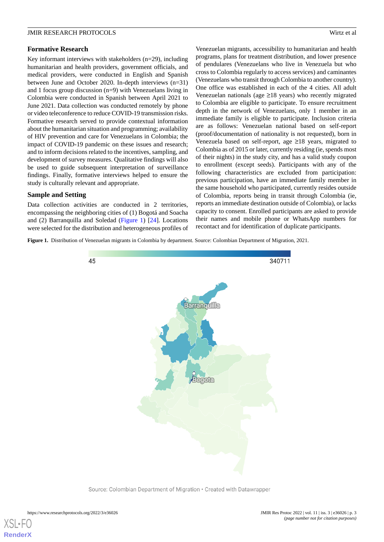#### **Formative Research**

Key informant interviews with stakeholders (n=29), including humanitarian and health providers, government officials, and medical providers, were conducted in English and Spanish between June and October 2020. In-depth interviews (n=31) and 1 focus group discussion (n=9) with Venezuelans living in Colombia were conducted in Spanish between April 2021 to June 2021. Data collection was conducted remotely by phone or video teleconference to reduce COVID-19 transmission risks. Formative research served to provide contextual information about the humanitarian situation and programming; availability of HIV prevention and care for Venezuelans in Colombia; the impact of COVID-19 pandemic on these issues and research; and to inform decisions related to the incentives, sampling, and development of survey measures. Qualitative findings will also be used to guide subsequent interpretation of surveillance findings. Finally, formative interviews helped to ensure the study is culturally relevant and appropriate.

#### **Sample and Setting**

<span id="page-2-0"></span>Data collection activities are conducted in 2 territories, encompassing the neighboring cities of (1) Bogotá and Soacha and (2) Barranquilla and Soledad [\(Figure 1](#page-2-0)) [[24\]](#page-10-6). Locations were selected for the distribution and heterogeneous profiles of Venezuelan migrants, accessibility to humanitarian and health programs, plans for treatment distribution, and lower presence of pendulares (Venezuelans who live in Venezuela but who cross to Colombia regularly to access services) and caminantes (Venezuelans who transit through Colombia to another country). One office was established in each of the 4 cities. All adult Venezuelan nationals (age ≥18 years) who recently migrated to Colombia are eligible to participate. To ensure recruitment depth in the network of Venezuelans, only 1 member in an immediate family is eligible to participate. Inclusion criteria are as follows: Venezuelan national based on self-report (proof/documentation of nationality is not requested), born in Venezuela based on self-report, age ≥18 years, migrated to Colombia as of 2015 or later, currently residing (ie, spends most of their nights) in the study city, and has a valid study coupon to enrollment (except seeds). Participants with any of the following characteristics are excluded from participation: previous participation, have an immediate family member in the same household who participated, currently resides outside of Colombia, reports being in transit through Colombia (ie, reports an immediate destination outside of Colombia), or lacks capacity to consent. Enrolled participants are asked to provide their names and mobile phone or WhatsApp numbers for recontact and for identification of duplicate participants.

**Figure 1.** Distribution of Venezuelan migrants in Colombia by department. Source: Colombian Department of Migration, 2021.

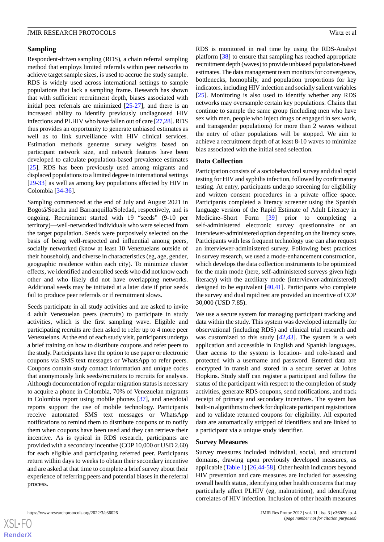#### **Sampling**

Respondent-driven sampling (RDS), a chain referral sampling method that employs limited referrals within peer networks to achieve target sample sizes, is used to accrue the study sample. RDS is widely used across international settings to sample populations that lack a sampling frame. Research has shown that with sufficient recruitment depth, biases associated with initial peer referrals are minimized [\[25](#page-10-7)-[27\]](#page-10-8), and there is an increased ability to identify previously undiagnosed HIV infections and PLHIV who have fallen out of care [\[27](#page-10-8)[,28](#page-10-9)]. RDS thus provides an opportunity to generate unbiased estimates as well as to link surveillance with HIV clinical services. Estimation methods generate survey weights based on participant network size, and network features have been developed to calculate population-based prevalence estimates [[25\]](#page-10-7). RDS has been previously used among migrants and displaced populations to a limited degree in international settings [[29](#page-10-10)[-33](#page-10-11)] as well as among key populations affected by HIV in Colombia [[34-](#page-10-12)[36](#page-10-13)].

Sampling commenced at the end of July and August 2021 in Bogotá/Soacha and Barranquilla/Soledad, respectively, and is ongoing. Recruitment started with 19 "seeds" (9-10 per territory)—well-networked individuals who were selected from the target population. Seeds were purposively selected on the basis of being well-respected and influential among peers, socially networked (know at least 10 Venezuelans outside of their household), and diverse in characteristics (eg, age, gender, geographic residence within each city). To minimize cluster effects, we identified and enrolled seeds who did not know each other and who likely did not have overlapping networks. Additional seeds may be initiated at a later date if prior seeds fail to produce peer referrals or if recruitment slows.

Seeds participate in all study activities and are asked to invite 4 adult Venezuelan peers (recruits) to participate in study activities, which is the first sampling wave. Eligible and participating recruits are then asked to refer up to 4 more peer Venezuelans. At the end of each study visit, participants undergo a brief training on how to distribute coupons and refer peers to the study. Participants have the option to use paper or electronic coupons via SMS text messages or WhatsApp to refer peers. Coupons contain study contact information and unique codes that anonymously link seeds/recruiters to recruits for analysis. Although documentation of regular migration status is necessary to acquire a phone in Colombia, 70% of Venezuelan migrants in Colombia report using mobile phones [[37\]](#page-10-14), and anecdotal reports support the use of mobile technology. Participants receive automated SMS text messages or WhatsApp notifications to remind them to distribute coupons or to notify them when coupons have been used and they can retrieve their incentive. As is typical in RDS research, participants are provided with a secondary incentive (COP 10,000 or USD 2.60) for each eligible and participating referred peer. Participants return within days to weeks to obtain their secondary incentive and are asked at that time to complete a brief survey about their experience of referring peers and potential biases in the referral process.

RDS is monitored in real time by using the RDS-Analyst platform [\[38](#page-10-15)] to ensure that sampling has reached appropriate recruitment depth (waves) to provide unbiased population-based estimates. The data management team monitors for convergence, bottlenecks, homophily, and population proportions for key indicators, including HIV infection and socially salient variables [[25\]](#page-10-7). Monitoring is also used to identify whether any RDS networks may oversample certain key populations. Chains that continue to sample the same group (including men who have sex with men, people who inject drugs or engaged in sex work, and transgender populations) for more than 2 waves without the entry of other populations will be stopped. We aim to achieve a recruitment depth of at least 8-10 waves to minimize bias associated with the initial seed selection.

#### **Data Collection**

Participation consists of a sociobehavioral survey and dual rapid testing for HIV and syphilis infection, followed by confirmatory testing. At entry, participants undergo screening for eligibility and written consent procedures in a private office space. Participants completed a literacy screener using the Spanish language version of the Rapid Estimate of Adult Literacy in Medicine–Short Form [\[39](#page-11-0)] prior to completing a self-administered electronic survey questionnaire or an interviewer-administered option depending on the literacy score. Participants with less frequent technology use can also request an interviewer-administered survey. Following best practices in survey research, we used a mode-enhancement construction, which develops the data collection instruments to be optimized for the main mode (here, self-administered surveys given high literacy) with the auxiliary mode (interviewer-administered) designed to be equivalent [[40](#page-11-1)[,41](#page-11-2)]. Participants who complete the survey and dual rapid test are provided an incentive of COP 30,000 (USD 7.85).

We use a secure system for managing participant tracking and data within the study. This system was developed internally for observational (including RDS) and clinical trial research and was customized to this study [[42,](#page-11-3)[43](#page-11-4)]. The system is a web application and accessible in English and Spanish languages. User access to the system is location- and role-based and protected with a username and password. Entered data are encrypted in transit and stored in a secure server at Johns Hopkins. Study staff can register a participant and follow the status of the participant with respect to the completion of study activities, generate RDS coupons, send notifications, and track receipt of primary and secondary incentives. The system has built-in algorithms to check for duplicate participant registrations and to validate returned coupons for eligibility. All exported data are automatically stripped of identifiers and are linked to a participant via a unique study identifier.

#### **Survey Measures**

Survey measures included individual, social, and structural domains, drawing upon previously developed measures, as applicable ([Table 1\)](#page-4-0) [[26,](#page-10-16)[44](#page-11-5)[-58](#page-11-6)]. Other health indicators beyond HIV prevention and care measures are included for assessing overall health status, identifying other health concerns that may particularly affect PLHIV (eg, malnutrition), and identifying correlates of HIV infection. Inclusion of other health measures

 $XS$  • F( **[RenderX](http://www.renderx.com/)**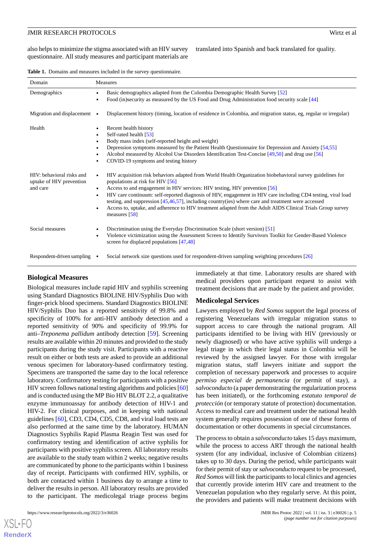translated into Spanish and back translated for quality.

<span id="page-4-0"></span>

|  |  |  |  |  |  | <b>Table 1.</b> Domains and measures included in the survey questionnaire. |
|--|--|--|--|--|--|----------------------------------------------------------------------------|
|--|--|--|--|--|--|----------------------------------------------------------------------------|

| Domain                                                            | Measures                                                                                                                                                                                                                                                                                                                                                                                                                                                                                                                                                                                                                               |  |  |
|-------------------------------------------------------------------|----------------------------------------------------------------------------------------------------------------------------------------------------------------------------------------------------------------------------------------------------------------------------------------------------------------------------------------------------------------------------------------------------------------------------------------------------------------------------------------------------------------------------------------------------------------------------------------------------------------------------------------|--|--|
| Demographics                                                      | Basic demographics adapted from the Colombia Demographic Health Survey [52]<br>Food (in)security as measured by the US Food and Drug Administration food security scale [44]                                                                                                                                                                                                                                                                                                                                                                                                                                                           |  |  |
| Migration and displacement $\bullet$                              | Displacement history (timing, location of residence in Colombia, and migration status, eg, regular or irregular)                                                                                                                                                                                                                                                                                                                                                                                                                                                                                                                       |  |  |
| Health                                                            | Recent health history<br>٠<br>Self-rated health [53]<br>٠<br>Body mass index (self-reported height and weight)<br>Depression symptoms measured by the Patient Health Questionnaire for Depression and Anxiety [54,55]<br>٠<br>Alcohol measured by Alcohol Use Disorders Identification Test-Concise [49,50] and drug use [56]<br>COVID-19 symptoms and testing history                                                                                                                                                                                                                                                                 |  |  |
| HIV: behavioral risks and<br>uptake of HIV prevention<br>and care | HIV acquisition risk behaviors adapted from World Health Organization biobehavioral survey guidelines for<br>$\bullet$<br>populations at risk for HIV [56]<br>Access to and engagement in HIV services: HIV testing, HIV prevention [56]<br>$\bullet$<br>HIV care continuum: self-reported diagnosis of HIV, engagement in HIV care including CD4 testing, viral load<br>$\bullet$<br>testing, and suppression [45,46,57], including country(ies) where care and treatment were accessed<br>Access to, uptake, and adherence to HIV treatment adapted from the Adult AIDS Clinical Trials Group survey<br>$\bullet$<br>measures $[58]$ |  |  |
| Social measures                                                   | Discrimination using the Everyday Discrimination Scale (short version) [51]<br>$\bullet$<br>Violence victimization using the Assessment Screen to Identify Survivors Toolkit for Gender-Based Violence<br>$\bullet$<br>screen for displaced populations $[47, 48]$                                                                                                                                                                                                                                                                                                                                                                     |  |  |
| Respondent-driven sampling $\bullet$                              | Social network size questions used for respondent-driven sampling weighting procedures [26]                                                                                                                                                                                                                                                                                                                                                                                                                                                                                                                                            |  |  |

#### **Biological Measures**

Biological measures include rapid HIV and syphilis screening using Standard Diagnostics BIOLINE HIV/Syphilis Duo with finger-prick blood specimens. Standard Diagnostics BIOLINE HIV/Syphilis Duo has a reported sensitivity of 99.8% and specificity of 100% for anti-HIV antibody detection and a reported sensitivity of 90% and specificity of 99.9% for anti–*Treponema pallidum* antibody detection [\[59](#page-11-20)]. Screening results are available within 20 minutes and provided to the study participants during the study visit. Participants with a reactive result on either or both tests are asked to provide an additional venous specimen for laboratory-based confirmatory testing. Specimens are transported the same day to the local reference laboratory. Confirmatory testing for participants with a positive HIV screen follows national testing algorithms and policies [\[60](#page-11-21)] and is conducted using the MP Bio HIV BLOT 2.2, a qualitative enzyme immunoassay for antibody detection of HIV-1 and HIV-2. For clinical purposes, and in keeping with national guidelines [\[60](#page-11-21)], CD3, CD4, CD5, CD8, and viral load tests are also performed at the same time by the laboratory. HUMAN Diagnostics Syphilis Rapid Plasma Reagin Test was used for confirmatory testing and identification of active syphilis for participants with positive syphilis screen. All laboratory results are available to the study team within 2 weeks; negative results are communicated by phone to the participants within 1 business day of receipt. Participants with confirmed HIV, syphilis, or both are contacted within 1 business day to arrange a time to deliver the results in person. All laboratory results are provided to the participant. The medicolegal triage process begins

https://www.researchprotocols.org/2022/3/e36026 JMIR Res Protoc 2022 | vol. 11 | iss. 3 | e36026 | p. 5

[XSL](http://www.w3.org/Style/XSL)•FO **[RenderX](http://www.renderx.com/)**

immediately at that time. Laboratory results are shared with medical providers upon participant request to assist with treatment decisions that are made by the patient and provider.

#### **Medicolegal Services**

Lawyers employed by *Red Somos* support the legal process of registering Venezuelans with irregular migration status to support access to care through the national program. All participants identified to be living with HIV (previously or newly diagnosed) or who have active syphilis will undergo a legal triage in which their legal status in Colombia will be reviewed by the assigned lawyer. For those with irregular migration status, staff lawyers initiate and support the completion of necessary paperwork and processes to acquire *permiso especial de permanencia* (or permit of stay), a *salvoconducto* (a paper demonstrating the regularization process has been initiated), or the forthcoming *estatuto temporal de protección* (or temporary statute of protection) documentation*.* Access to medical care and treatment under the national health system generally requires possession of one of these forms of documentation or other documents in special circumstances.

The process to obtain a *salvoconducto* takes 15 days maximum, while the process to access ART through the national health system (for any individual, inclusive of Colombian citizens) takes up to 30 days. During the period, while participants wait for their permit of stay or *salvoconducto* request to be processed, *Red Somos* will link the participants to local clinics and agencies that currently provide interim HIV care and treatment to the Venezuelan population who they regularly serve. At this point, the providers and patients will make treatment decisions with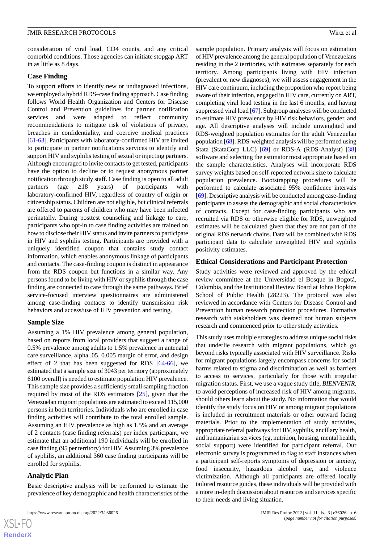consideration of viral load, CD4 counts, and any critical comorbid conditions. Those agencies can initiate stopgap ART in as little as 8 days.

#### **Case Finding**

To support efforts to identify new or undiagnosed infections, we employed a hybrid RDS–case finding approach. Case finding follows World Health Organization and Centers for Disease Control and Prevention guidelines for partner notification services and were adapted to reflect community recommendations to mitigate risk of violations of privacy, breaches in confidentiality, and coercive medical practices [[61-](#page-12-0)[63\]](#page-12-1). Participants with laboratory-confirmed HIV are invited to participate in partner notifications services to identify and support HIV and syphilis testing of sexual or injecting partners. Although encouraged to invite contacts to get tested, participants have the option to decline or to request anonymous partner notification through study staff. Case finding is open to all adult partners (age ≥18 years) of participants with laboratory-confirmed HIV, regardless of country of origin or citizenship status. Children are not eligible, but clinical referrals are offered to parents of children who may have been infected perinatally. During posttest counseling and linkage to care, participants who opt-in to case finding activities are trained on how to disclose their HIV status and invite partners to participate in HIV and syphilis testing. Participants are provided with a uniquely identified coupon that contains study contact information, which enables anonymous linkage of participants and contacts. The case-finding coupon is distinct in appearance from the RDS coupon but functions in a similar way. Any persons found to be living with HIV or syphilis through the case finding are connected to care through the same pathways. Brief service-focused interview questionnaires are administered among case-finding contacts to identify transmission risk behaviors and access/use of HIV prevention and testing.

#### **Sample Size**

Assuming a 1% HIV prevalence among general population, based on reports from local providers that suggest a range of 0.5% prevalence among adults to 1.5% prevalence in antenatal care surveillance, alpha .05, 0.005 margin of error, and design effect of 2 that has been suggested for RDS [[64-](#page-12-2)[66](#page-12-3)], we estimated that a sample size of 3043 per territory (approximately 6100 overall) is needed to estimate population HIV prevalence. This sample size provides a sufficiently small sampling fraction required by most of the RDS estimators [[25\]](#page-10-7), given that the Venezuelan migrant populations are estimated to exceed 115,000 persons in both territories. Individuals who are enrolled in case finding activities will contribute to the total enrolled sample. Assuming an HIV prevalence as high as 1.5% and an average of 2 contacts (case finding referrals) per index participant, we estimate that an additional 190 individuals will be enrolled in case finding (95 per territory) for HIV. Assuming 3% prevalence of syphilis, an additional 360 case finding participants will be enrolled for syphilis.

### **Analytic Plan**

Basic descriptive analysis will be performed to estimate the prevalence of key demographic and health characteristics of the

https://www.researchprotocols.org/2022/3/e36026 p. 6 JMIR Res Protoc 2022 | vol. 11 | iss. 3 | e36026 | p. 6

sample population. Primary analysis will focus on estimation of HIV prevalence among the general population of Venezuelans residing in the 2 territories, with estimates separately for each territory. Among participants living with HIV infection (prevalent or new diagnoses), we will assess engagement in the HIV care continuum, including the proportion who report being aware of their infection, engaged in HIV care, currently on ART, completing viral load testing in the last 6 months, and having suppressed viral load [[67\]](#page-12-4). Subgroup analyses will be conducted to estimate HIV prevalence by HIV risk behaviors, gender, and age. All descriptive analyses will include unweighted and RDS-weighted population estimates for the adult Venezuelan population [\[68](#page-12-5)]. RDS-weighted analysis will be performed using Stata (StataCorp LLC) [[69\]](#page-12-6) or RDS-A (RDS-Analyst) [\[38](#page-10-15)] software and selecting the estimator most appropriate based on the sample characteristics. Analyses will incorporate RDS survey weights based on self-reported network size to calculate population prevalence. Bootstrapping procedures will be performed to calculate associated 95% confidence intervals [[69\]](#page-12-6). Descriptive analysis will be conducted among case-finding participants to assess the demographic and social characteristics of contacts. Except for case-finding participants who are recruited via RDS or otherwise eligible for RDS, unweighted estimates will be calculated given that they are not part of the original RDS network chains. Data will be combined with RDS participant data to calculate unweighted HIV and syphilis positivity estimates.

#### **Ethical Considerations and Participant Protection**

Study activities were reviewed and approved by the ethical review committee at the Universidad el Bosque in Bogotá, Colombia, and the Institutional Review Board at Johns Hopkins School of Public Health (28223). The protocol was also reviewed in accordance with Centers for Disease Control and Prevention human research protection procedures. Formative research with stakeholders was deemed not human subjects research and commenced prior to other study activities.

This study uses multiple strategies to address unique social risks that underlie research with migrant populations, which go beyond risks typically associated with HIV surveillance. Risks for migrant populations largely encompass concerns for social harms related to stigma and discrimination as well as barriers to access to services, particularly for those with irregular migration status. First, we use a vague study title, *BIENVENIR,* to avoid perceptions of increased risk of HIV among migrants, should others learn about the study. No information that would identify the study focus on HIV or among migrant populations is included in recruitment materials or other outward facing materials. Prior to the implementation of study activities, appropriate referral pathways for HIV, syphilis, ancillary health, and humanitarian services (eg, nutrition, housing, mental health, social support) were identified for participant referral. Our electronic survey is programmed to flag to staff instances when a participant self-reports symptoms of depression or anxiety, food insecurity, hazardous alcohol use, and violence victimization. Although all participants are offered locally tailored resource guides, these individuals will be provided with a more in-depth discussion about resources and services specific to their needs and living situation.

 $XS$ -FO **[RenderX](http://www.renderx.com/)**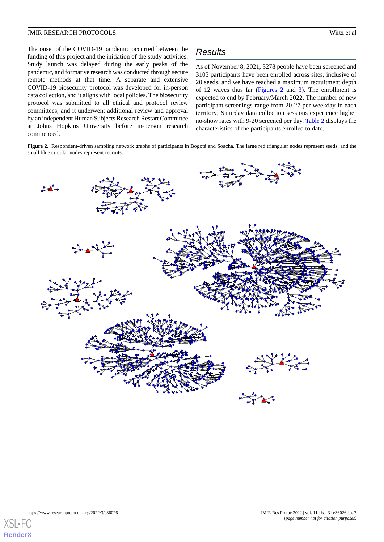The onset of the COVID-19 pandemic occurred between the funding of this project and the initiation of the study activities. Study launch was delayed during the early peaks of the pandemic, and formative research was conducted through secure remote methods at that time. A separate and extensive COVID-19 biosecurity protocol was developed for in-person data collection, and it aligns with local policies. The biosecurity protocol was submitted to all ethical and protocol review committees, and it underwent additional review and approval by an independent Human Subjects Research Restart Committee at Johns Hopkins University before in-person research commenced.

# *Results*

As of November 8, 2021, 3278 people have been screened and 3105 participants have been enrolled across sites, inclusive of 20 seeds, and we have reached a maximum recruitment depth of 12 waves thus far ([Figures 2](#page-6-0) and [3\)](#page-7-0). The enrollment is expected to end by February/March 2022. The number of new participant screenings range from 20-27 per weekday in each territory; Saturday data collection sessions experience higher no-show rates with 9-20 screened per day. [Table 2](#page-8-0) displays the characteristics of the participants enrolled to date.

<span id="page-6-0"></span>**Figure 2.** Respondent-driven sampling network graphs of participants in Bogotá and Soacha. The large red triangular nodes represent seeds, and the small blue circular nodes represent recruits.



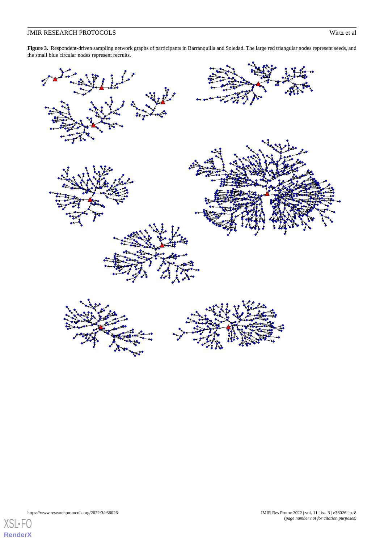<span id="page-7-0"></span>Figure 3. Respondent-driven sampling network graphs of participants in Barranquilla and Soledad. The large red triangular nodes represent seeds, and the small blue circular nodes represent recruits.



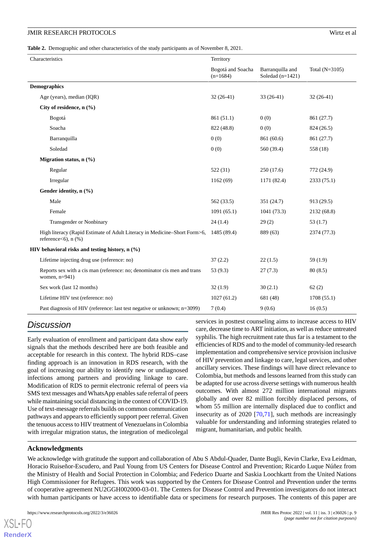<span id="page-8-0"></span>**Table 2.** Demographic and other characteristics of the study participants as of November 8, 2021.

| Characteristics                                 |                                                                                                        | Territory                       |                                        |                  |  |
|-------------------------------------------------|--------------------------------------------------------------------------------------------------------|---------------------------------|----------------------------------------|------------------|--|
|                                                 |                                                                                                        | Bogotá and Soacha<br>$(n=1684)$ | Barranquilla and<br>Soledad $(n=1421)$ | Total $(N=3105)$ |  |
|                                                 | <b>Demographics</b>                                                                                    |                                 |                                        |                  |  |
|                                                 | Age (years), median (IQR)                                                                              | $32(26-41)$                     | $33(26-41)$                            | $32(26-41)$      |  |
|                                                 | City of residence, $n$ (%)                                                                             |                                 |                                        |                  |  |
|                                                 | Bogotá                                                                                                 | 861 (51.1)                      | 0(0)                                   | 861 (27.7)       |  |
|                                                 | Soacha                                                                                                 | 822 (48.8)                      | 0(0)                                   | 824 (26.5)       |  |
|                                                 | Barranquilla                                                                                           | 0(0)                            | 861 (60.6)                             | 861 (27.7)       |  |
|                                                 | Soledad                                                                                                | 0(0)                            | 560 (39.4)                             | 558 (18)         |  |
|                                                 | Migration status, $n$ (%)                                                                              |                                 |                                        |                  |  |
|                                                 | Regular                                                                                                | 522(31)                         | 250(17.6)                              | 772 (24.9)       |  |
|                                                 | Irregular                                                                                              | 1162(69)                        | 1171 (82.4)                            | 2333(75.1)       |  |
|                                                 | Gender identity, n (%)                                                                                 |                                 |                                        |                  |  |
|                                                 | Male                                                                                                   | 562 (33.5)                      | 351 (24.7)                             | 913(29.5)        |  |
|                                                 | Female                                                                                                 | 1091(65.1)                      | 1041 (73.3)                            | 2132 (68.8)      |  |
|                                                 | <b>Transgender or Nonbinary</b>                                                                        | 24(1.4)                         | 29(2)                                  | 53(1.7)          |  |
|                                                 | High literacy (Rapid Estimate of Adult Literacy in Medicine–Short Form>6,<br>reference<br><6), $n$ (%) | 1485 (89.4)                     | 889 (63)                               | 2374 (77.3)      |  |
| HIV behavioral risks and testing history, n (%) |                                                                                                        |                                 |                                        |                  |  |
|                                                 | Lifetime injecting drug use (reference: no)                                                            | 37(2.2)                         | 22(1.5)                                | 59(1.9)          |  |
|                                                 | Reports sex with a cis man (reference: no; denominator cis men and trans<br>women, $n=941$ )           | 53(9.3)                         | 27(7.3)                                | 80(8.5)          |  |
|                                                 | Sex work (last 12 months)                                                                              | 32(1.9)                         | 30(2.1)                                | 62(2)            |  |
|                                                 | Lifetime HIV test (reference: no)                                                                      | 1027(61.2)                      | 681 (48)                               | 1708(55.1)       |  |
|                                                 | Past diagnosis of HIV (reference: last test negative or unknown; n=3099)                               | 7(0.4)                          | 9(0.6)                                 | 16(0.5)          |  |

# *Discussion*

Early evaluation of enrollment and participant data show early signals that the methods described here are both feasible and acceptable for research in this context. The hybrid RDS–case finding approach is an innovation in RDS research, with the goal of increasing our ability to identify new or undiagnosed infections among partners and providing linkage to care. Modification of RDS to permit electronic referral of peers via SMS text messages and WhatsApp enables safe referral of peers while maintaining social distancing in the context of COVID-19. Use of text-message referrals builds on common communication pathways and appears to efficiently support peer referral. Given the tenuous access to HIV treatment of Venezuelans in Colombia with irregular migration status, the integration of medicolegal

services in posttest counseling aims to increase access to HIV care, decrease time to ART initiation, as well as reduce untreated syphilis. The high recruitment rate thus far is a testament to the efficiencies of RDS and to the model of community-led research implementation and comprehensive service provision inclusive of HIV prevention and linkage to care, legal services, and other ancillary services. These findings will have direct relevance to Colombia, but methods and lessons learned from this study can be adapted for use across diverse settings with numerous health outcomes. With almost 272 million international migrants globally and over 82 million forcibly displaced persons, of whom 55 million are internally displaced due to conflict and insecurity as of 2020 [\[70](#page-12-7),[71\]](#page-12-8), such methods are increasingly valuable for understanding and informing strategies related to migrant, humanitarian, and public health.

# **Acknowledgments**

 $X$ SL•FO **[RenderX](http://www.renderx.com/)**

We acknowledge with gratitude the support and collaboration of Abu S Abdul-Quader, Dante Bugli, Kevin Clarke, Eva Leidman, Horacio Ruiseñor-Escudero, and Paul Young from US Centers for Disease Control and Prevention; Ricardo Luque Núñez from the Ministry of Health and Social Protection in Colombia; and Federico Duarte and Saskia Loochkartt from the United Nations High Commissioner for Refugees. This work was supported by the Centers for Disease Control and Prevention under the terms of cooperative agreement NU2GGH002000-03-01. The Centers for Disease Control and Prevention investigators do not interact with human participants or have access to identifiable data or specimens for research purposes. The contents of this paper are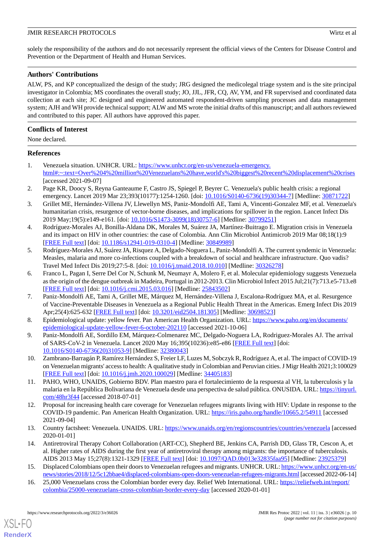solely the responsibility of the authors and do not necessarily represent the official views of the Centers for Disease Control and Prevention or the Department of Health and Human Services.

# **Authors' Contributions**

ALW, PS, and KP conceptualized the design of the study; JRG designed the medicolegal triage system and is the site principal investigator in Colombia; MS coordinates the overall study; JO, JJL, JFR, CQ, AV, YM, and FR supervised and coordinated data collection at each site; JC designed and engineered automated respondent-driven sampling processes and data management system; AJH and WH provide technical support; ALW and MS wrote the initial drafts of this manuscript; and all authors reviewed and contributed to this paper. All authors have approved this paper.

# **Conflicts of Interest**

None declared.

# <span id="page-9-0"></span>**References**

- <span id="page-9-1"></span>1. Venezuela situation. UNHCR. URL: [https://www.unhcr.org/en-us/venezuela-emergency.](https://www.unhcr.org/en-us/venezuela-emergency.html#:~:text=Over%204%20million%20Venezuelans%20have,world) [html#:~:text=Over%204%20million%20Venezuelans%20have,world's%20biggest%20recent%20displacement%20crises](https://www.unhcr.org/en-us/venezuela-emergency.html#:~:text=Over%204%20million%20Venezuelans%20have,world) [accessed 2021-09-07]
- 2. Page KR, Doocy S, Reyna Ganteaume F, Castro JS, Spiegel P, Beyrer C. Venezuela's public health crisis: a regional emergency. Lancet 2019 Mar 23;393(10177):1254-1260. [doi: [10.1016/S0140-6736\(19\)30344-7\]](http://dx.doi.org/10.1016/S0140-6736(19)30344-7) [Medline: [30871722\]](http://www.ncbi.nlm.nih.gov/entrez/query.fcgi?cmd=Retrieve&db=PubMed&list_uids=30871722&dopt=Abstract)
- 3. Grillet ME, Hernández-Villena JV, Llewellyn MS, Paniz-Mondolfi AE, Tami A, Vincenti-Gonzalez MF, et al. Venezuela's humanitarian crisis, resurgence of vector-borne diseases, and implications for spillover in the region. Lancet Infect Dis 2019 May;19(5):e149-e161. [doi: [10.1016/S1473-3099\(18\)30757-6](http://dx.doi.org/10.1016/S1473-3099(18)30757-6)] [Medline: [30799251](http://www.ncbi.nlm.nih.gov/entrez/query.fcgi?cmd=Retrieve&db=PubMed&list_uids=30799251&dopt=Abstract)]
- 4. Rodríguez-Morales AJ, Bonilla-Aldana DK, Morales M, Suárez JA, Martínez-Buitrago E. Migration crisis in Venezuela and its impact on HIV in other countries: the case of Colombia. Ann Clin Microbiol Antimicrob 2019 Mar 08;18(1):9 [[FREE Full text](https://ann-clinmicrob.biomedcentral.com/articles/10.1186/s12941-019-0310-4)] [doi: [10.1186/s12941-019-0310-4\]](http://dx.doi.org/10.1186/s12941-019-0310-4) [Medline: [30849989](http://www.ncbi.nlm.nih.gov/entrez/query.fcgi?cmd=Retrieve&db=PubMed&list_uids=30849989&dopt=Abstract)]
- 5. Rodríguez-Morales AJ, Suárez JA, Risquez A, Delgado-Noguera L, Paniz-Mondolfi A. The current syndemic in Venezuela: Measles, malaria and more co-infections coupled with a breakdown of social and healthcare infrastructure. Quo vadis? Travel Med Infect Dis 2019;27:5-8. [doi: [10.1016/j.tmaid.2018.10.010\]](http://dx.doi.org/10.1016/j.tmaid.2018.10.010) [Medline: [30326278](http://www.ncbi.nlm.nih.gov/entrez/query.fcgi?cmd=Retrieve&db=PubMed&list_uids=30326278&dopt=Abstract)]
- 6. Franco L, Pagan I, Serre Del Cor N, Schunk M, Neumayr A, Molero F, et al. Molecular epidemiology suggests Venezuela as the origin of the dengue outbreak in Madeira, Portugal in 2012-2013. Clin Microbiol Infect 2015 Jul;21(7):713.e5-713.e8 [[FREE Full text](https://linkinghub.elsevier.com/retrieve/pii/S1198-743X(15)00380-8)] [doi: [10.1016/j.cmi.2015.03.016\]](http://dx.doi.org/10.1016/j.cmi.2015.03.016) [Medline: [25843502](http://www.ncbi.nlm.nih.gov/entrez/query.fcgi?cmd=Retrieve&db=PubMed&list_uids=25843502&dopt=Abstract)]
- <span id="page-9-3"></span><span id="page-9-2"></span>7. Paniz-Mondolfi AE, Tami A, Grillet ME, Márquez M, Hernández-Villena J, Escalona-Rodríguez MA, et al. Resurgence of Vaccine-Preventable Diseases in Venezuela as a Regional Public Health Threat in the Americas. Emerg Infect Dis 2019 Apr;25(4):625-632 [\[FREE Full text\]](https://doi.org/10.3201/eid2504.181305) [doi: [10.3201/eid2504.181305](http://dx.doi.org/10.3201/eid2504.181305)] [Medline: [30698523\]](http://www.ncbi.nlm.nih.gov/entrez/query.fcgi?cmd=Retrieve&db=PubMed&list_uids=30698523&dopt=Abstract)
- <span id="page-9-4"></span>8. Epidemiological update: yellow fever. Pan American Health Organization. URL: [https://www.paho.org/en/documents/](https://www.paho.org/en/documents/epidemiological-update-yellow-fever-6-october-202110) [epidemiological-update-yellow-fever-6-october-202110](https://www.paho.org/en/documents/epidemiological-update-yellow-fever-6-october-202110) [accessed 2021-10-06]
- <span id="page-9-5"></span>9. Paniz-Mondolfi AE, Sordillo EM, Márquez-Colmenarez MC, Delgado-Noguera LA, Rodriguez-Morales AJ. The arrival of SARS-CoV-2 in Venezuela. Lancet 2020 May 16;395(10236):e85-e86 [\[FREE Full text](http://europepmc.org/abstract/MED/32380043)] [doi: [10.1016/S0140-6736\(20\)31053-9\]](http://dx.doi.org/10.1016/S0140-6736(20)31053-9) [Medline: [32380043](http://www.ncbi.nlm.nih.gov/entrez/query.fcgi?cmd=Retrieve&db=PubMed&list_uids=32380043&dopt=Abstract)]
- <span id="page-9-6"></span>10. Zambrano-Barragán P, Ramírez Hernández S, Freier LF, Luzes M, Sobczyk R, Rodríguez A, et al. The impact of COVID-19 on Venezuelan migrants' access to health: A qualitative study in Colombian and Peruvian cities. J Migr Health 2021;3:100029 [[FREE Full text](https://linkinghub.elsevier.com/retrieve/pii/S2666-6235(20)30029-5)] [doi: [10.1016/j.jmh.2020.100029\]](http://dx.doi.org/10.1016/j.jmh.2020.100029) [Medline: [34405183](http://www.ncbi.nlm.nih.gov/entrez/query.fcgi?cmd=Retrieve&db=PubMed&list_uids=34405183&dopt=Abstract)]
- <span id="page-9-7"></span>11. PAHO, WHO, UNAIDS, Gobierno BDV. Plan maestro para el fortalecimiento de la respuesta al VH, la tuberculosis y la malaria en la República Bolivariana de Venezuela desde una perspectiva de salud pública. ONUSIDA. URL: [https://tinyurl.](https://tinyurl.com/48hr3f44) [com/48hr3f44](https://tinyurl.com/48hr3f44) [accessed 2018-07-01]
- <span id="page-9-8"></span>12. Proposal for increasing health care coverage for Venezuelan refugees migrants living with HIV: Update in response to the COVID-19 pandemic. Pan American Health Organization. URL:<https://iris.paho.org/handle/10665.2/54911> [accessed 2021-09-04]
- <span id="page-9-10"></span><span id="page-9-9"></span>13. Country factsheet: Venezuela. UNAIDS. URL:<https://www.unaids.org/en/regionscountries/countries/venezuela> [accessed 2020-01-01]
- 14. Antiretroviral Therapy Cohort Collaboration (ART-CC), Shepherd BE, Jenkins CA, Parrish DD, Glass TR, Cescon A, et al. Higher rates of AIDS during the first year of antiretroviral therapy among migrants: the importance of tuberculosis. AIDS 2013 May 15;27(8):1321-1329 [\[FREE Full text](http://europepmc.org/abstract/MED/23925379)] [doi: [10.1097/QAD.0b013e32835faa95\]](http://dx.doi.org/10.1097/QAD.0b013e32835faa95) [Medline: [23925379\]](http://www.ncbi.nlm.nih.gov/entrez/query.fcgi?cmd=Retrieve&db=PubMed&list_uids=23925379&dopt=Abstract)
- 15. Displaced Colombians open their doors to Venezuelan refugees and migrants. UNHCR. URL: [https://www.unhcr.org/en-us/](https://www.unhcr.org/en-us/news/stories/2018/12/5c12bbae4/displaced-colombians-open-doors-venezuelan-refugees-migrants.html) [news/stories/2018/12/5c12bbae4/displaced-colombians-open-doors-venezuelan-refugees-migrants.html](https://www.unhcr.org/en-us/news/stories/2018/12/5c12bbae4/displaced-colombians-open-doors-venezuelan-refugees-migrants.html)[accessed 2022-06-14]
- 16. 25,000 Venezuelans cross the Colombian border every day. Relief Web International. URL: [https://reliefweb.int/report/](https://reliefweb.int/report/colombia/25000-venezuelans-cross-colombian-border-every-day) [colombia/25000-venezuelans-cross-colombian-border-every-day](https://reliefweb.int/report/colombia/25000-venezuelans-cross-colombian-border-every-day) [accessed 2020-01-01]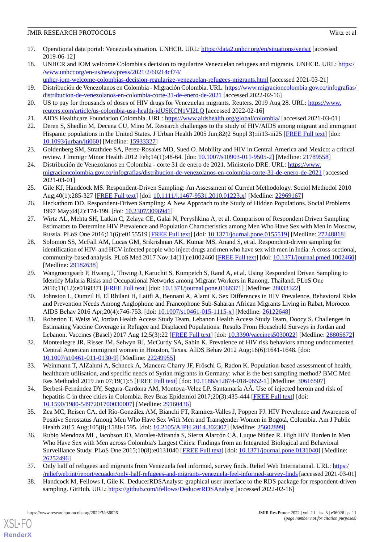- <span id="page-10-0"></span>17. Operational data portal: Venezuela situation. UNHCR. URL:<https://data2.unhcr.org/en/situations/vensit> [accessed 2019-06-12]
- 18. UNHCR and IOM welcome Colombia's decision to regularize Venezuelan refugees and migrants. UNHCR. URL: [https:/](https://www.unhcr.org/en-us/news/press/2021/2/60214cf74/unhcr-iom-welcome-colombias-decision-regularize-venezuelan-refugees-migrants.html) [/www.unhcr.org/en-us/news/press/2021/2/60214cf74/](https://www.unhcr.org/en-us/news/press/2021/2/60214cf74/unhcr-iom-welcome-colombias-decision-regularize-venezuelan-refugees-migrants.html)
- <span id="page-10-1"></span>[unhcr-iom-welcome-colombias-decision-regularize-venezuelan-refugees-migrants.html](https://www.unhcr.org/en-us/news/press/2021/2/60214cf74/unhcr-iom-welcome-colombias-decision-regularize-venezuelan-refugees-migrants.html) [accessed 2021-03-21] 19. Distribución de Venezolanos en Colombia - Migración Colombia. URL: [https://www.migracioncolombia.gov.co/infografias/](https://www.migracioncolombia.gov.co/infografias/distribucion-de-venezolanos-en-colombia-corte-31-de-enero-de-2021) [distribucion-de-venezolanos-en-colombia-corte-31-de-enero-de-2021](https://www.migracioncolombia.gov.co/infografias/distribucion-de-venezolanos-en-colombia-corte-31-de-enero-de-2021) [accessed 2022-02-16]
- <span id="page-10-3"></span><span id="page-10-2"></span>20. US to pay for thousands of doses of HIV drugs for Venezuelan migrants. Reuters. 2019 Aug 28. URL: [https://www.](https://www.reuters.com/article/us-colombia-usa-health-idUSKCN1VI2LQ) [reuters.com/article/us-colombia-usa-health-idUSKCN1VI2LQ](https://www.reuters.com/article/us-colombia-usa-health-idUSKCN1VI2LQ) [accessed 2022-02-16]
- <span id="page-10-4"></span>21. AIDS Healthcare Foundation Colombia. URL: <https://www.aidshealth.org/global/colombia/> [accessed 2021-03-01]
- <span id="page-10-5"></span>22. Deren S, Shedlin M, Decena CU, Mino M. Research challenges to the study of HIV/AIDS among migrant and immigrant Hispanic populations in the United States. J Urban Health 2005 Jun;82(2 Suppl 3):iii13-iii25 [\[FREE Full text\]](http://europepmc.org/abstract/MED/15933327) [doi: [10.1093/jurban/jti060\]](http://dx.doi.org/10.1093/jurban/jti060) [Medline: [15933327](http://www.ncbi.nlm.nih.gov/entrez/query.fcgi?cmd=Retrieve&db=PubMed&list_uids=15933327&dopt=Abstract)]
- <span id="page-10-6"></span>23. Goldenberg SM, Strathdee SA, Perez-Rosales MD, Sued O. Mobility and HIV in Central America and Mexico: a critical review. J Immigr Minor Health 2012 Feb;14(1):48-64. [doi: [10.1007/s10903-011-9505-2\]](http://dx.doi.org/10.1007/s10903-011-9505-2) [Medline: [21789558\]](http://www.ncbi.nlm.nih.gov/entrez/query.fcgi?cmd=Retrieve&db=PubMed&list_uids=21789558&dopt=Abstract)
- <span id="page-10-7"></span>24. Distribución de Venezolanos en Colombia - corte 31 de enero de 2021. Ministerio DRE. URL: [https://www.](https://www.migracioncolombia.gov.co/infografias/distribucion-de-venezolanos-en-colombia-corte-31-de-enero-de-2021) [migracioncolombia.gov.co/infografias/distribucion-de-venezolanos-en-colombia-corte-31-de-enero-de-2021](https://www.migracioncolombia.gov.co/infografias/distribucion-de-venezolanos-en-colombia-corte-31-de-enero-de-2021) [accessed 2021-03-01]
- <span id="page-10-16"></span>25. Gile KJ, Handcock MS. Respondent-Driven Sampling: An Assessment of Current Methodology. Sociol Methodol 2010 Aug;40(1):285-327 [\[FREE Full text](http://europepmc.org/abstract/MED/22969167)] [doi: [10.1111/j.1467-9531.2010.01223.x](http://dx.doi.org/10.1111/j.1467-9531.2010.01223.x)] [Medline: [22969167\]](http://www.ncbi.nlm.nih.gov/entrez/query.fcgi?cmd=Retrieve&db=PubMed&list_uids=22969167&dopt=Abstract)
- <span id="page-10-8"></span>26. Heckathorn DD. Respondent-Driven Sampling: A New Approach to the Study of Hidden Populations. Social Problems 1997 May;44(2):174-199. [doi: [10.2307/3096941\]](http://dx.doi.org/10.2307/3096941)
- <span id="page-10-9"></span>27. Wirtz AL, Mehta SH, Latkin C, Zelaya CE, Galai N, Peryshkina A, et al. Comparison of Respondent Driven Sampling Estimators to Determine HIV Prevalence and Population Characteristics among Men Who Have Sex with Men in Moscow, Russia. PLoS One 2016;11(6):e0155519 [[FREE Full text\]](https://dx.plos.org/10.1371/journal.pone.0155519) [doi: [10.1371/journal.pone.0155519](http://dx.doi.org/10.1371/journal.pone.0155519)] [Medline: [27248818](http://www.ncbi.nlm.nih.gov/entrez/query.fcgi?cmd=Retrieve&db=PubMed&list_uids=27248818&dopt=Abstract)]
- <span id="page-10-10"></span>28. Solomon SS, McFall AM, Lucas GM, Srikrishnan AK, Kumar MS, Anand S, et al. Respondent-driven sampling for identification of HIV- and HCV-infected people who inject drugs and men who have sex with men in India: A cross-sectional, community-based analysis. PLoS Med 2017 Nov;14(11):e1002460 [[FREE Full text](https://dx.plos.org/10.1371/journal.pmed.1002460)] [doi: [10.1371/journal.pmed.1002460](http://dx.doi.org/10.1371/journal.pmed.1002460)] [Medline: [29182638](http://www.ncbi.nlm.nih.gov/entrez/query.fcgi?cmd=Retrieve&db=PubMed&list_uids=29182638&dopt=Abstract)]
- 29. Wangroongsarb P, Hwang J, Thwing J, Karuchit S, Kumpetch S, Rand A, et al. Using Respondent Driven Sampling to Identify Malaria Risks and Occupational Networks among Migrant Workers in Ranong, Thailand. PLoS One 2016;11(12):e0168371 [\[FREE Full text](https://dx.plos.org/10.1371/journal.pone.0168371)] [doi: [10.1371/journal.pone.0168371\]](http://dx.doi.org/10.1371/journal.pone.0168371) [Medline: [28033322](http://www.ncbi.nlm.nih.gov/entrez/query.fcgi?cmd=Retrieve&db=PubMed&list_uids=28033322&dopt=Abstract)]
- 30. Johnston L, Oumzil H, El Rhilani H, Latifi A, Bennani A, Alami K. Sex Differences in HIV Prevalence, Behavioral Risks and Prevention Needs Among Anglophone and Francophone Sub-Saharan African Migrants Living in Rabat, Morocco. AIDS Behav 2016 Apr;20(4):746-753. [doi: [10.1007/s10461-015-1115-x](http://dx.doi.org/10.1007/s10461-015-1115-x)] [Medline: [26122648](http://www.ncbi.nlm.nih.gov/entrez/query.fcgi?cmd=Retrieve&db=PubMed&list_uids=26122648&dopt=Abstract)]
- <span id="page-10-11"></span>31. Roberton T, Weiss W, Jordan Health Access Study Team, Lebanon Health Access Study Team, Doocy S. Challenges in Estimating Vaccine Coverage in Refugee and Displaced Populations: Results From Household Surveys in Jordan and Lebanon. Vaccines (Basel) 2017 Aug 12;5(3):22 [\[FREE Full text\]](https://www.mdpi.com/resolver?pii=vaccines5030022) [doi: [10.3390/vaccines5030022](http://dx.doi.org/10.3390/vaccines5030022)] [Medline: [28805672](http://www.ncbi.nlm.nih.gov/entrez/query.fcgi?cmd=Retrieve&db=PubMed&list_uids=28805672&dopt=Abstract)]
- <span id="page-10-12"></span>32. Montealegre JR, Risser JM, Selwyn BJ, McCurdy SA, Sabin K. Prevalence of HIV risk behaviors among undocumented Central American immigrant women in Houston, Texas. AIDS Behav 2012 Aug;16(6):1641-1648. [doi: [10.1007/s10461-011-0130-9\]](http://dx.doi.org/10.1007/s10461-011-0130-9) [Medline: [22249955](http://www.ncbi.nlm.nih.gov/entrez/query.fcgi?cmd=Retrieve&db=PubMed&list_uids=22249955&dopt=Abstract)]
- 33. Weinmann T, AlZahmi A, Schneck A, Mancera Charry JF, Fröschl G, Radon K. Population-based assessment of health, healthcare utilisation, and specific needs of Syrian migrants in Germany: what is the best sampling method? BMC Med Res Methodol 2019 Jan 07;19(1):5 [[FREE Full text](https://bmcmedresmethodol.biomedcentral.com/articles/10.1186/s12874-018-0652-1)] [doi: [10.1186/s12874-018-0652-1\]](http://dx.doi.org/10.1186/s12874-018-0652-1) [Medline: [30616507](http://www.ncbi.nlm.nih.gov/entrez/query.fcgi?cmd=Retrieve&db=PubMed&list_uids=30616507&dopt=Abstract)]
- <span id="page-10-13"></span>34. Berbesi-Fernández DY, Segura-Cardona AM, Montoya-Velez LP, Santamaría AÁ. Use of injected heroin and risk of hepatitis C in three cities in Colombia. Rev Bras Epidemiol 2017;20(3):435-444 [[FREE Full text](https://www.scielo.br/scielo.php?script=sci_arttext&pid=S1415-790X2017000300435&lng=en&nrm=iso&tlng=en)] [doi: [10.1590/1980-5497201700030007](http://dx.doi.org/10.1590/1980-5497201700030007)] [Medline: [29160436\]](http://www.ncbi.nlm.nih.gov/entrez/query.fcgi?cmd=Retrieve&db=PubMed&list_uids=29160436&dopt=Abstract)
- <span id="page-10-14"></span>35. Zea MC, Reisen CA, del Río-González AM, Bianchi FT, Ramirez-Valles J, Poppen PJ. HIV Prevalence and Awareness of Positive Serostatus Among Men Who Have Sex With Men and Transgender Women in Bogotá, Colombia. Am J Public Health 2015 Aug;105(8):1588-1595. [doi: [10.2105/AJPH.2014.302307\]](http://dx.doi.org/10.2105/AJPH.2014.302307) [Medline: [25602899](http://www.ncbi.nlm.nih.gov/entrez/query.fcgi?cmd=Retrieve&db=PubMed&list_uids=25602899&dopt=Abstract)]
- <span id="page-10-15"></span>36. Rubio Mendoza ML, Jacobson JO, Morales-Miranda S, Sierra Alarcón CÁ, Luque Núñez R. High HIV Burden in Men Who Have Sex with Men across Colombia's Largest Cities: Findings from an Integrated Biological and Behavioral Surveillance Study. PLoS One 2015;10(8):e0131040 [[FREE Full text](https://dx.plos.org/10.1371/journal.pone.0131040)] [doi: [10.1371/journal.pone.0131040\]](http://dx.doi.org/10.1371/journal.pone.0131040) [Medline: [26252496](http://www.ncbi.nlm.nih.gov/entrez/query.fcgi?cmd=Retrieve&db=PubMed&list_uids=26252496&dopt=Abstract)]
- 37. Only half of refugees and migrants from Venezuela feel informed, survey finds. Relief Web International. URL: [https:/](https://reliefweb.int/report/ecuador/only-half-refugees-and-migrants-venezuela-feel-informed-survey-finds) [/reliefweb.int/report/ecuador/only-half-refugees-and-migrants-venezuela-feel-informed-survey-finds](https://reliefweb.int/report/ecuador/only-half-refugees-and-migrants-venezuela-feel-informed-survey-finds)[accessed 2021-03-01]
- 38. Handcock M, Fellows I, Gile K. DeducerRDSAnalyst: graphical user interface to the RDS package for respondent-driven sampling. GitHub. URL:<https://github.com/ifellows/DeducerRDSAnalyst> [accessed 2022-02-16]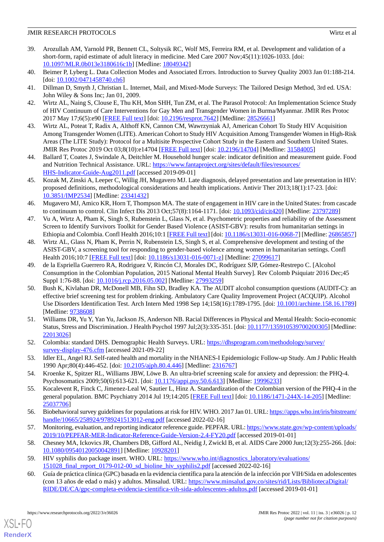- <span id="page-11-0"></span>39. Arozullah AM, Yarnold PR, Bennett CL, Soltysik RC, Wolf MS, Ferreira RM, et al. Development and validation of a short-form, rapid estimate of adult literacy in medicine. Med Care 2007 Nov;45(11):1026-1033. [doi: [10.1097/MLR.0b013e3180616c1b\]](http://dx.doi.org/10.1097/MLR.0b013e3180616c1b) [Medline: [18049342\]](http://www.ncbi.nlm.nih.gov/entrez/query.fcgi?cmd=Retrieve&db=PubMed&list_uids=18049342&dopt=Abstract)
- <span id="page-11-2"></span><span id="page-11-1"></span>40. Beimer P, Lyberg L. Data Collection Modes and Associated Errors. Introduction to Survey Quality 2003 Jan 01:188-214. [doi: [10.1002/0471458740.ch6](http://dx.doi.org/10.1002/0471458740.ch6)]
- <span id="page-11-3"></span>41. Dillman D, Smyth J, Christian L. Internet, Mail, and Mixed-Mode Surveys: The Tailored Design Method, 3rd ed. USA: John Wiley & Sons Inc; Jan 01, 2009.
- <span id="page-11-4"></span>42. Wirtz AL, Naing S, Clouse E, Thu KH, Mon SHH, Tun ZM, et al. The Parasol Protocol: An Implementation Science Study of HIV Continuum of Care Interventions for Gay Men and Transgender Women in Burma/Myanmar. JMIR Res Protoc 2017 May 17;6(5):e90 [\[FREE Full text\]](https://www.researchprotocols.org/2017/5/e90/) [doi: [10.2196/resprot.7642\]](http://dx.doi.org/10.2196/resprot.7642) [Medline: [28526661](http://www.ncbi.nlm.nih.gov/entrez/query.fcgi?cmd=Retrieve&db=PubMed&list_uids=28526661&dopt=Abstract)]
- 43. Wirtz AL, Poteat T, Radix A, Althoff KN, Cannon CM, Wawrzyniak AJ, American Cohort To Study HIV Acquisition Among Transgender Women (LITE). American Cohort to Study HIV Acquisition Among Transgender Women in High-Risk Areas (The LITE Study): Protocol for a Multisite Prospective Cohort Study in the Eastern and Southern United States. JMIR Res Protoc 2019 Oct 03;8(10):e14704 [[FREE Full text](https://www.researchprotocols.org/2019/10/e14704/)] [doi: [10.2196/14704\]](http://dx.doi.org/10.2196/14704) [Medline: [31584005\]](http://www.ncbi.nlm.nih.gov/entrez/query.fcgi?cmd=Retrieve&db=PubMed&list_uids=31584005&dopt=Abstract)
- <span id="page-11-14"></span><span id="page-11-5"></span>44. Ballard T, Coates J, Swindale A, Deitchler M. Household hunger scale: indicator definition and measurement guide. Food and Nutrition Technical Assistance. URL: [https://www.fantaproject.org/sites/default/files/resources/](https://www.fantaproject.org/sites/default/files/resources/HHS-Indicator-Guide-Aug2011.pdf) [HHS-Indicator-Guide-Aug2011.pdf](https://www.fantaproject.org/sites/default/files/resources/HHS-Indicator-Guide-Aug2011.pdf) [accessed 2019-09-01]
- <span id="page-11-15"></span>45. Kozak M, Zinski A, Leeper C, Willig JH, Mugavero MJ. Late diagnosis, delayed presentation and late presentation in HIV: proposed definitions, methodological considerations and health implications. Antivir Ther 2013;18(1):17-23. [doi: [10.3851/IMP2534\]](http://dx.doi.org/10.3851/IMP2534) [Medline: [23341432](http://www.ncbi.nlm.nih.gov/entrez/query.fcgi?cmd=Retrieve&db=PubMed&list_uids=23341432&dopt=Abstract)]
- <span id="page-11-18"></span>46. Mugavero MJ, Amico KR, Horn T, Thompson MA. The state of engagement in HIV care in the United States: from cascade to continuum to control. Clin Infect Dis 2013 Oct;57(8):1164-1171. [doi: [10.1093/cid/cit420\]](http://dx.doi.org/10.1093/cid/cit420) [Medline: [23797289\]](http://www.ncbi.nlm.nih.gov/entrez/query.fcgi?cmd=Retrieve&db=PubMed&list_uids=23797289&dopt=Abstract)
- <span id="page-11-19"></span>47. Vu A, Wirtz A, Pham K, Singh S, Rubenstein L, Glass N, et al. Psychometric properties and reliability of the Assessment Screen to Identify Survivors Toolkit for Gender Based Violence (ASIST-GBV): results from humanitarian settings in Ethiopia and Colombia. Confl Health 2016;10:1 [\[FREE Full text](https://conflictandhealth.biomedcentral.com/articles/10.1186/s13031-016-0068-7)] [doi: [10.1186/s13031-016-0068-7](http://dx.doi.org/10.1186/s13031-016-0068-7)] [Medline: [26865857](http://www.ncbi.nlm.nih.gov/entrez/query.fcgi?cmd=Retrieve&db=PubMed&list_uids=26865857&dopt=Abstract)]
- <span id="page-11-11"></span>48. Wirtz AL, Glass N, Pham K, Perrin N, Rubenstein LS, Singh S, et al. Comprehensive development and testing of the ASIST-GBV, a screening tool for responding to gender-based violence among women in humanitarian settings. Confl Health 2016;10:7 [\[FREE Full text](https://conflictandhealth.biomedcentral.com/articles/10.1186/s13031-016-0071-z)] [doi: [10.1186/s13031-016-0071-z](http://dx.doi.org/10.1186/s13031-016-0071-z)] [Medline: [27099617](http://www.ncbi.nlm.nih.gov/entrez/query.fcgi?cmd=Retrieve&db=PubMed&list_uids=27099617&dopt=Abstract)]
- <span id="page-11-12"></span>49. de la Espriella Guerrero RA, Rodriguez V, Rincón CJ, Morales DC, Rodríguez SJP, Gómez-Restrepo C. [Alcohol Consumption in the Colombian Population, 2015 National Mental Health Survey]. Rev Colomb Psiquiatr 2016 Dec;45 Suppl 1:76-88. [doi: [10.1016/j.rcp.2016.05.002\]](http://dx.doi.org/10.1016/j.rcp.2016.05.002) [Medline: [27993259\]](http://www.ncbi.nlm.nih.gov/entrez/query.fcgi?cmd=Retrieve&db=PubMed&list_uids=27993259&dopt=Abstract)
- <span id="page-11-17"></span>50. Bush K, Kivlahan DR, McDonell MB, Fihn SD, Bradley KA. The AUDIT alcohol consumption questions (AUDIT-C): an effective brief screening test for problem drinking. Ambulatory Care Quality Improvement Project (ACQUIP). Alcohol Use Disorders Identification Test. Arch Intern Med 1998 Sep 14;158(16):1789-1795. [doi: [10.1001/archinte.158.16.1789](http://dx.doi.org/10.1001/archinte.158.16.1789)] [Medline: [9738608\]](http://www.ncbi.nlm.nih.gov/entrez/query.fcgi?cmd=Retrieve&db=PubMed&list_uids=9738608&dopt=Abstract)
- <span id="page-11-8"></span><span id="page-11-7"></span>51. Williams DR, Yu Y, Yan Yu, Jackson JS, Anderson NB. Racial Differences in Physical and Mental Health: Socio-economic Status, Stress and Discrimination. J Health Psychol 1997 Jul;2(3):335-351. [doi: [10.1177/135910539700200305](http://dx.doi.org/10.1177/135910539700200305)] [Medline: [22013026](http://www.ncbi.nlm.nih.gov/entrez/query.fcgi?cmd=Retrieve&db=PubMed&list_uids=22013026&dopt=Abstract)]
- <span id="page-11-9"></span>52. Colombia: standard DHS. Demographic Health Surveys. URL: [https://dhsprogram.com/methodology/survey/](https://dhsprogram.com/methodology/survey/survey-display-476.cfm) [survey-display-476.cfm](https://dhsprogram.com/methodology/survey/survey-display-476.cfm) [accessed 2021-09-22]
- <span id="page-11-10"></span>53. Idler EL, Angel RJ. Self-rated health and mortality in the NHANES-I Epidemiologic Follow-up Study. Am J Public Health 1990 Apr;80(4):446-452. [doi: [10.2105/ajph.80.4.446\]](http://dx.doi.org/10.2105/ajph.80.4.446) [Medline: [2316767](http://www.ncbi.nlm.nih.gov/entrez/query.fcgi?cmd=Retrieve&db=PubMed&list_uids=2316767&dopt=Abstract)]
- <span id="page-11-13"></span>54. Kroenke K, Spitzer RL, Williams JBW, Löwe B. An ultra-brief screening scale for anxiety and depression: the PHQ-4. Psychosomatics 2009;50(6):613-621. [doi: [10.1176/appi.psy.50.6.613\]](http://dx.doi.org/10.1176/appi.psy.50.6.613) [Medline: [19996233](http://www.ncbi.nlm.nih.gov/entrez/query.fcgi?cmd=Retrieve&db=PubMed&list_uids=19996233&dopt=Abstract)]
- <span id="page-11-16"></span><span id="page-11-6"></span>55. Kocalevent R, Finck C, Jimenez-Leal W, Sautier L, Hinz A. Standardization of the Colombian version of the PHQ-4 in the general population. BMC Psychiatry 2014 Jul 19;14:205 [[FREE Full text](https://bmcpsychiatry.biomedcentral.com/articles/10.1186/1471-244X-14-205)] [doi: [10.1186/1471-244X-14-205\]](http://dx.doi.org/10.1186/1471-244X-14-205) [Medline: [25037706](http://www.ncbi.nlm.nih.gov/entrez/query.fcgi?cmd=Retrieve&db=PubMed&list_uids=25037706&dopt=Abstract)]
- <span id="page-11-20"></span>56. Biobehavioral survey guidelines for populations at risk for HIV. WHO. 2017 Jan 01. URL: [https://apps.who.int/iris/bitstream/](https://apps.who.int/iris/bitstream/handle/10665/258924/9789241513012-eng.pdf) [handle/10665/258924/9789241513012-eng.pdf](https://apps.who.int/iris/bitstream/handle/10665/258924/9789241513012-eng.pdf) [accessed 2022-02-16]
- <span id="page-11-21"></span>57. Monitoring, evaluation, and reporting indicator reference guide. PEPFAR. URL: [https://www.state.gov/wp-content/uploads/](https://www.state.gov/wp-content/uploads/2019/10/PEPFAR-MER-Indicator-Reference-Guide-Version-2.4-FY20.pdf) [2019/10/PEPFAR-MER-Indicator-Reference-Guide-Version-2.4-FY20.pdf](https://www.state.gov/wp-content/uploads/2019/10/PEPFAR-MER-Indicator-Reference-Guide-Version-2.4-FY20.pdf) [accessed 2019-01-01]
- 58. Chesney MA, Ickovics JR, Chambers DB, Gifford AL, Neidig J, Zwickl B, et al. AIDS Care 2000 Jun;12(3):255-266. [doi: [10.1080/09540120050042891\]](http://dx.doi.org/10.1080/09540120050042891) [Medline: [10928201\]](http://www.ncbi.nlm.nih.gov/entrez/query.fcgi?cmd=Retrieve&db=PubMed&list_uids=10928201&dopt=Abstract)
- 59. HIV syphilis duo package insert. WHO. URL: [https://www.who.int/diagnostics\\_laboratory/evaluations/](https://www.who.int/diagnostics_laboratory/evaluations/151028_final_report_0179-012-00_sd_bioline_hiv_syphilis2.pdf) [151028\\_final\\_report\\_0179-012-00\\_sd\\_bioline\\_hiv\\_syphilis2.pdf](https://www.who.int/diagnostics_laboratory/evaluations/151028_final_report_0179-012-00_sd_bioline_hiv_syphilis2.pdf) [accessed 2022-02-16]
- 60. Guía de práctica clínica (GPC) basada en la evidencia científica para la atención de la infección por VIH/Sida en adolescentes (con 13 años de edad o más) y adultos. Minsalud. URL: [https://www.minsalud.gov.co/sites/rid/Lists/BibliotecaDigital/](https://www.minsalud.gov.co/sites/rid/Lists/BibliotecaDigital/RIDE/DE/CA/gpc-completa-evidencia-cientifica-vih-sida-adolescentes-adultos.pdf) [RIDE/DE/CA/gpc-completa-evidencia-cientifica-vih-sida-adolescentes-adultos.pdf](https://www.minsalud.gov.co/sites/rid/Lists/BibliotecaDigital/RIDE/DE/CA/gpc-completa-evidencia-cientifica-vih-sida-adolescentes-adultos.pdf) [accessed 2019-01-01]